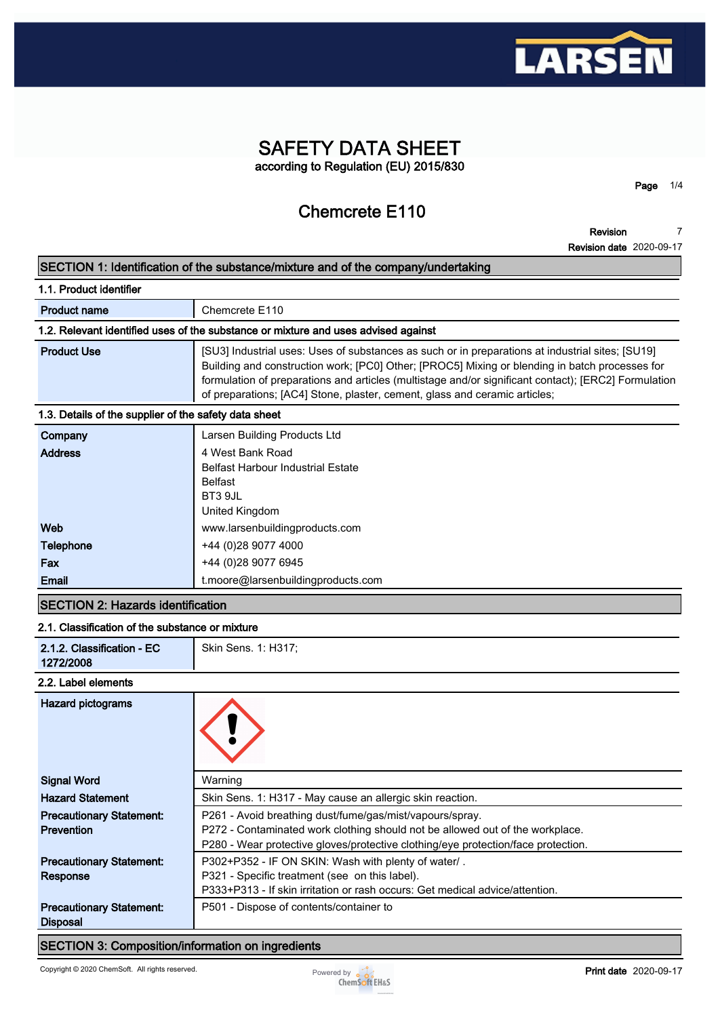

# **SAFETY DATA SHEET according to Regulation (EU) 2015/830**

# **Chemcrete E110**

**Page 1/4**

**Revision Revision date 2020-09-17 7**

# **SECTION 1: Identification of the substance/mixture and of the company/undertaking**

| 1.1. Product identifier                               |                                                                                                                                                                                                                                                                                                                                                                                          |  |  |
|-------------------------------------------------------|------------------------------------------------------------------------------------------------------------------------------------------------------------------------------------------------------------------------------------------------------------------------------------------------------------------------------------------------------------------------------------------|--|--|
| <b>Product name</b>                                   | Chemcrete E110                                                                                                                                                                                                                                                                                                                                                                           |  |  |
|                                                       | 1.2. Relevant identified uses of the substance or mixture and uses advised against                                                                                                                                                                                                                                                                                                       |  |  |
| <b>Product Use</b>                                    | [SU3] Industrial uses: Uses of substances as such or in preparations at industrial sites; [SU19]<br>Building and construction work; [PC0] Other; [PROC5] Mixing or blending in batch processes for<br>formulation of preparations and articles (multistage and/or significant contact); [ERC2] Formulation<br>of preparations; [AC4] Stone, plaster, cement, glass and ceramic articles; |  |  |
| 1.3. Details of the supplier of the safety data sheet |                                                                                                                                                                                                                                                                                                                                                                                          |  |  |
| Company                                               | Larsen Building Products Ltd                                                                                                                                                                                                                                                                                                                                                             |  |  |
| <b>Address</b>                                        | 4 West Bank Road<br><b>Belfast Harbour Industrial Estate</b>                                                                                                                                                                                                                                                                                                                             |  |  |
|                                                       | Relfact                                                                                                                                                                                                                                                                                                                                                                                  |  |  |

|                  | <b>Belfast</b>                     |
|------------------|------------------------------------|
|                  | BT3 9JL                            |
|                  | United Kingdom                     |
| Web              | www.larsenbuildingproducts.com     |
| <b>Telephone</b> | +44 (0) 28 9077 4000               |
| Fax              | +44 (0)28 9077 6945                |
| Email            | t.moore@larsenbuildingproducts.com |

# **SECTION 2: Hazards identification**

### **2.1. Classification of the substance or mixture**

|  |  | 2.1.2. Classification - EC<br>1272/2008 | Skin Sens. 1: H317; |
|--|--|-----------------------------------------|---------------------|
|--|--|-----------------------------------------|---------------------|

#### **2.2. Label elements**

| <b>Hazard pictograms</b>        |                                                                                   |
|---------------------------------|-----------------------------------------------------------------------------------|
| <b>Signal Word</b>              | Warning                                                                           |
| <b>Hazard Statement</b>         | Skin Sens. 1: H317 - May cause an allergic skin reaction.                         |
| <b>Precautionary Statement:</b> | P261 - Avoid breathing dust/fume/gas/mist/vapours/spray.                          |
| <b>Prevention</b>               | P272 - Contaminated work clothing should not be allowed out of the workplace.     |
|                                 | P280 - Wear protective gloves/protective clothing/eye protection/face protection. |
| <b>Precautionary Statement:</b> | P302+P352 - IF ON SKIN: Wash with plenty of water/.                               |
| Response                        | P321 - Specific treatment (see on this label).                                    |
|                                 | P333+P313 - If skin irritation or rash occurs: Get medical advice/attention.      |
| <b>Precautionary Statement:</b> | P501 - Dispose of contents/container to                                           |
| <b>Disposal</b>                 |                                                                                   |

# **SECTION 3: Composition/information on ingredients**

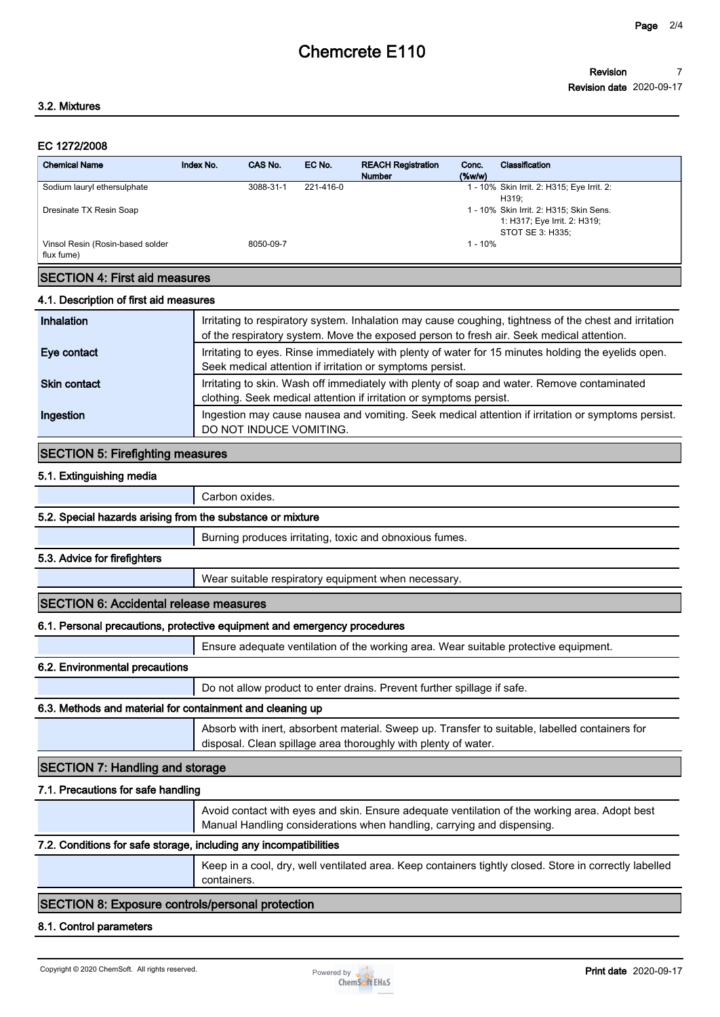#### **EC 1272/2008**

| <b>Chemical Name</b>                           | Index No. | CAS No.   | EC No.    | <b>REACH Registration</b><br><b>Number</b> | Conc.<br>$($ %w/w $)$ | Classification                                                                              |
|------------------------------------------------|-----------|-----------|-----------|--------------------------------------------|-----------------------|---------------------------------------------------------------------------------------------|
| Sodium lauryl ethersulphate                    |           | 3088-31-1 | 221-416-0 |                                            |                       | 1 - 10% Skin Irrit. 2: H315; Eye Irrit. 2:<br>H319:                                         |
| Dresinate TX Resin Soap                        |           |           |           |                                            |                       | 1 - 10% Skin Irrit. 2: H315; Skin Sens.<br>1: H317; Eye Irrit. 2: H319;<br>STOT SE 3: H335: |
| Vinsol Resin (Rosin-based solder<br>flux fume) |           | 8050-09-7 |           |                                            | $1 - 10%$             |                                                                                             |
| <b>ISECTION 4: First aid measures</b>          |           |           |           |                                            |                       |                                                                                             |

#### **4.1. Description of first aid measures**

| Inhalation          | Irritating to respiratory system. Inhalation may cause coughing, tightness of the chest and irritation<br>of the respiratory system. Move the exposed person to fresh air. Seek medical attention. |
|---------------------|----------------------------------------------------------------------------------------------------------------------------------------------------------------------------------------------------|
| Eye contact         | Irritating to eyes. Rinse immediately with plenty of water for 15 minutes holding the eyelids open.<br>Seek medical attention if irritation or symptoms persist.                                   |
| <b>Skin contact</b> | Irritating to skin. Wash off immediately with plenty of soap and water. Remove contaminated<br>clothing. Seek medical attention if irritation or symptoms persist.                                 |
| Ingestion           | Ingestion may cause nausea and vomiting. Seek medical attention if irritation or symptoms persist.<br>DO NOT INDUCE VOMITING.                                                                      |

#### **SECTION 5: Firefighting measures**

#### **5.1. Extinguishing media**

**Carbon oxides.**

#### **5.2. Special hazards arising from the substance or mixture**

**Burning produces irritating, toxic and obnoxious fumes.**

#### **5.3. Advice for firefighters**

**Wear suitable respiratory equipment when necessary.**

#### **SECTION 6: Accidental release measures**

#### **6.1. Personal precautions, protective equipment and emergency procedures**

**Ensure adequate ventilation of the working area. Wear suitable protective equipment.**

### **6.2. Environmental precautions**

**Do not allow product to enter drains. Prevent further spillage if safe.**

#### **6.3. Methods and material for containment and cleaning up**

**Absorb with inert, absorbent material. Sweep up. Transfer to suitable, labelled containers for disposal. Clean spillage area thoroughly with plenty of water.**

# **SECTION 7: Handling and storage**

#### **7.1. Precautions for safe handling**

**Avoid contact with eyes and skin. Ensure adequate ventilation of the working area. Adopt best Manual Handling considerations when handling, carrying and dispensing.**

#### **7.2. Conditions for safe storage, including any incompatibilities**

**Keep in a cool, dry, well ventilated area. Keep containers tightly closed. Store in correctly labelled containers.**

### **SECTION 8: Exposure controls/personal protection**

### **8.1. Control parameters**

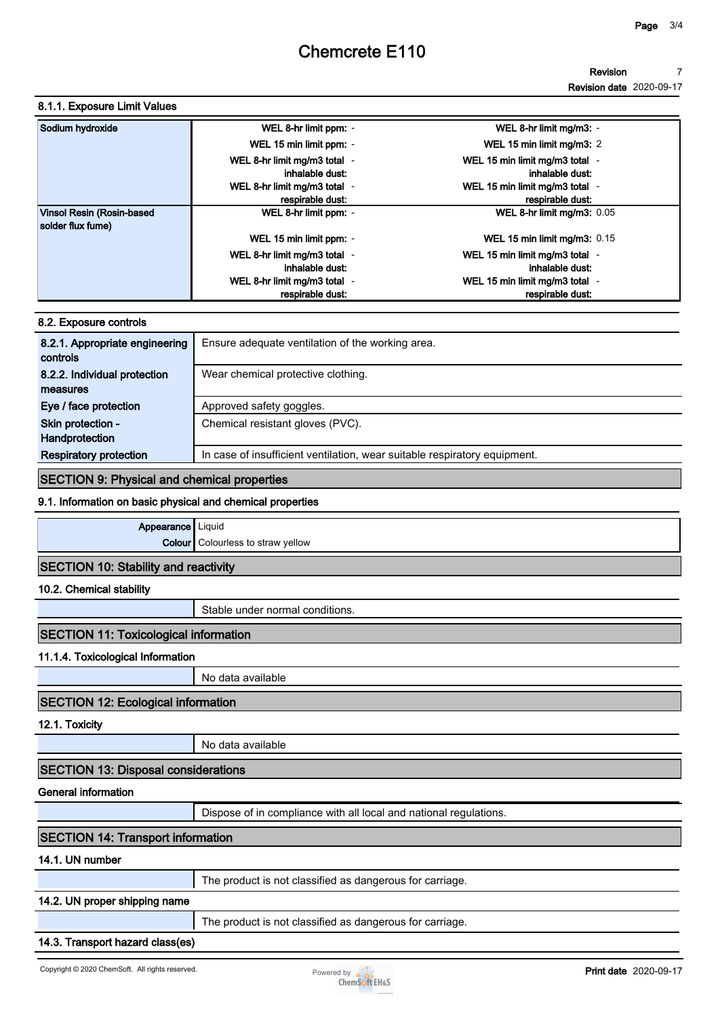#### **Revision 7**

**Revision date 2020-09-17**

# **8.1.1. Exposure Limit Values**

| Sodium hydroxide                               | WEL 8-hr limit ppm: -                            | WEL 8-hr limit mg/m3: -                            |
|------------------------------------------------|--------------------------------------------------|----------------------------------------------------|
|                                                | WEL 15 min limit ppm: -                          | WEL 15 min limit mg/m3: 2                          |
|                                                | WEL 8-hr limit mg/m3 total -<br>inhalable dust:  | WEL 15 min limit mg/m3 total -<br>inhalable dust:  |
|                                                | WEL 8-hr limit mg/m3 total -<br>respirable dust: | WEL 15 min limit mg/m3 total -<br>respirable dust. |
| Vinsol Resin (Rosin-based<br>solder flux fume) | WEL 8-hr limit ppm: -                            | WEL 8-hr limit mg/m3: 0.05                         |
|                                                | WEL 15 min limit ppm: -                          | WEL 15 min limit mg/m3: $0.15$                     |
|                                                | WEL 8-hr limit mg/m3 total -<br>inhalable dust:  | WEL 15 min limit mg/m3 total -<br>inhalable dust:  |
|                                                | WEL 8-hr limit mg/m3 total -<br>respirable dust: | WEL 15 min limit mg/m3 total -<br>respirable dust: |

### **8.2. Exposure controls**

| 8.2.1. Appropriate engineering<br>controls | Ensure adequate ventilation of the working area.                          |
|--------------------------------------------|---------------------------------------------------------------------------|
| 8.2.2. Individual protection               | Wear chemical protective clothing.                                        |
| measures                                   |                                                                           |
| Eye / face protection                      | Approved safety goggles.                                                  |
| Skin protection -                          | Chemical resistant gloves (PVC).                                          |
| Handprotection                             |                                                                           |
| <b>Respiratory protection</b>              | In case of insufficient ventilation, wear suitable respiratory equipment. |

# **SECTION 9: Physical and chemical properties**

#### **9.1. Information on basic physical and chemical properties**

**Appearance Liquid Colour Colourless to straw yellow**

# **SECTION 10: Stability and reactivity**

**10.2. Chemical stability**

**Stable under normal conditions.**

# **SECTION 11: Toxicological information**

**11.1.4. Toxicological Information**

**No data available**

# **SECTION 12: Ecological information**

**12.1. Toxicity**

**No data available**

**SECTION 13: Disposal considerations**

# **General information**

**Dispose of in compliance with all local and national regulations.**

# **SECTION 14: Transport information**

# **14.1. UN number**

# **14.2. UN proper shipping name**

**The product is not classified as dangerous for carriage.**

# **14.3. Transport hazard class(es)**